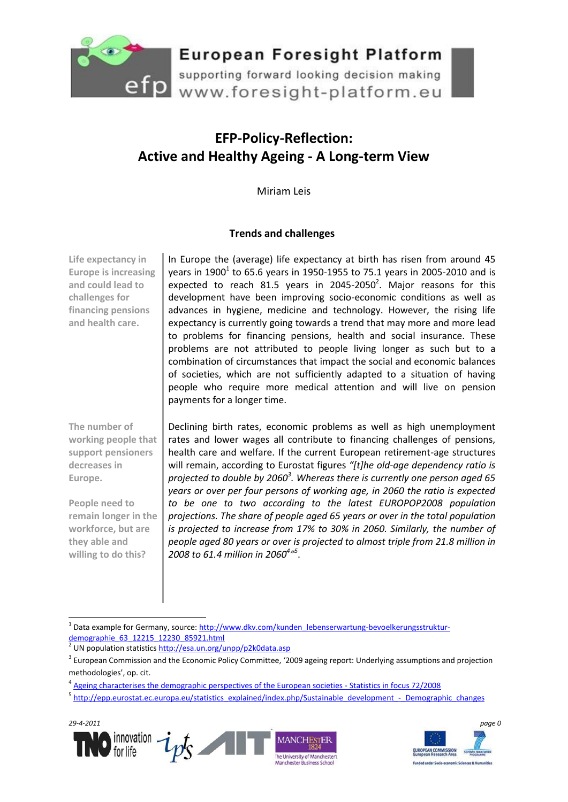

supporting forward looking decision making efp supporting forward looking decision making<br>www.foresight-platform.eu

### **EFP-Policy-Reflection: Active and Healthy Ageing - A Long-term View**

Miriam Leis

#### **Trends and challenges**

**Life expectancy in Europe is increasing and could lead to challenges for financing pensions and health care.**

**The number of working people that support pensioners decreases in Europe.** 

**People need to remain longer in the workforce, but are they able and willing to do this?**

In Europe the (average) life expectancy at birth has risen from around 45 years in 1900 $^1$  to 65.6 years in 1950-1955 to 75.1 years in 2005-2010 and is expected to reach 81.5 years in 2045-2050<sup>2</sup>. Major reasons for this development have been improving socio-economic conditions as well as advances in hygiene, medicine and technology. However, the rising life expectancy is currently going towards a trend that may more and more lead to problems for financing pensions, health and social insurance. These problems are not attributed to people living longer as such but to a combination of circumstances that impact the social and economic balances of societies, which are not sufficiently adapted to a situation of having people who require more medical attention and will live on pension payments for a longer time.

Declining birth rates, economic problems as well as high unemployment rates and lower wages all contribute to financing challenges of pensions, health care and welfare. If the current European retirement-age structures will remain, according to Eurostat figures *"[t]he old-age dependency ratio is projected to double by 2060<sup>3</sup> . Whereas there is currently one person aged 65 years or over per four persons of working age, in 2060 the ratio is expected to be one to two according to the latest EUROPOP2008 population projections. The share of people aged 65 years or over in the total population is projected to increase from 17% to 30% in 2060. Similarly, the number of people aged 80 years or over is projected to almost triple from 21.8 million in 2008 to 61.4 million in 2060<sup>4</sup> " 5* .

<sup>&</sup>lt;sup>5</sup> [http://epp.eurostat.ec.europa.eu/statistics\\_explained/index.php/Sustainable\\_development\\_-\\_Demographic\\_changes](http://epp.eurostat.ec.europa.eu/statistics_explained/index.php/Sustainable_development_-_Demographic_changes)





<sup>1</sup> Data example for Germany, source: [http://www.dkv.com/kunden\\_lebenserwartung-bevoelkerungsstruktur-](http://www.dkv.com/kunden_lebenserwartung-bevoelkerungsstruktur-demographie_63_12215_12230_85921.html) $\frac{\text{demographic}}{2}$  (IN population statistics http://esa.up.org/

UN population statistic[s http://esa.un.org/unpp/p2k0data.asp](http://esa.un.org/unpp/p2k0data.asp)

<sup>&</sup>lt;sup>3</sup> European Commission and the Economic Policy Committee, '2009 ageing report: Underlying assumptions and projection methodologies', op. cit.

<sup>&</sup>lt;sup>4</sup> [Ageing characterises the demographic perspectives of the European societies -](http://ec.europa.eu/eurostat/product?code=KS-SF-08-072&language=en) Statistics in focus 72/2008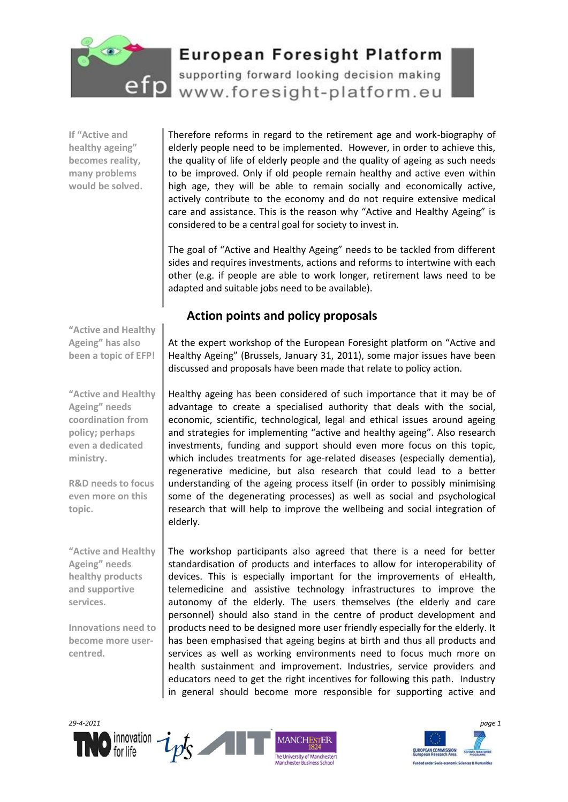

supporting forward looking decision making Tp www.foresight-platform.eu

**If "Active and healthy ageing" becomes reality, many problems would be solved.** Therefore reforms in regard to the retirement age and work-biography of elderly people need to be implemented. However, in order to achieve this, the quality of life of elderly people and the quality of ageing as such needs to be improved. Only if old people remain healthy and active even within high age, they will be able to remain socially and economically active, actively contribute to the economy and do not require extensive medical care and assistance. This is the reason why "Active and Healthy Ageing" is considered to be a central goal for society to invest in.

The goal of "Active and Healthy Ageing" needs to be tackled from different sides and requires investments, actions and reforms to intertwine with each other (e.g. if people are able to work longer, retirement laws need to be adapted and suitable jobs need to be available).

### **Action points and policy proposals**

**"Active and Healthy Ageing" has also been a topic of EFP!**

**"Active and Healthy Ageing" needs coordination from policy; perhaps even a dedicated ministry.**

**R&D needs to focus even more on this topic.** 

**"Active and Healthy Ageing" needs healthy products and supportive services.**

**Innovations need to become more usercentred.**

At the expert workshop of the European Foresight platform on "Active and Healthy Ageing" (Brussels, January 31, 2011), some major issues have been discussed and proposals have been made that relate to policy action.

Healthy ageing has been considered of such importance that it may be of advantage to create a specialised authority that deals with the social, economic, scientific, technological, legal and ethical issues around ageing and strategies for implementing "active and healthy ageing". Also research investments, funding and support should even more focus on this topic, which includes treatments for age-related diseases (especially dementia), regenerative medicine, but also research that could lead to a better understanding of the ageing process itself (in order to possibly minimising some of the degenerating processes) as well as social and psychological research that will help to improve the wellbeing and social integration of elderly.

The workshop participants also agreed that there is a need for better standardisation of products and interfaces to allow for interoperability of devices. This is especially important for the improvements of eHealth, telemedicine and assistive technology infrastructures to improve the autonomy of the elderly. The users themselves (the elderly and care personnel) should also stand in the centre of product development and products need to be designed more user friendly especially for the elderly. It has been emphasised that ageing begins at birth and thus all products and services as well as working environments need to focus much more on health sustainment and improvement. Industries, service providers and educators need to get the right incentives for following this path. Industry in general should become more responsible for supporting active and



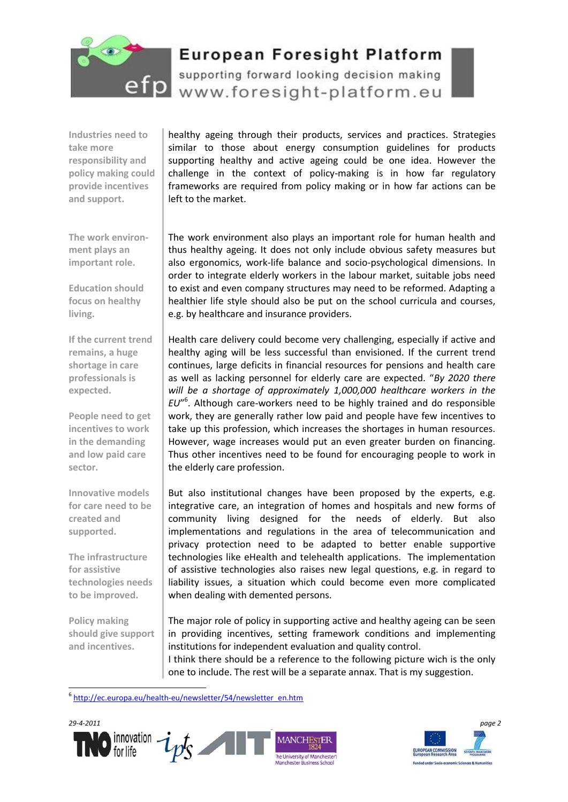

supporting forward looking decision making efp www.foresight-platform.eu

**Industries need to take more responsibility and policy making could provide incentives and support.**

**The work environment plays an important role.**

**Education should focus on healthy** 

**If the current trend remains, a huge shortage in care professionals is expected.**

**People need to get incentives to work in the demanding and low paid care** 

**Innovative models for care need to be** 

**The infrastructure for assistive** 

**technologies needs to be improved.**

**Policy making should give support and incentives.** 

<u>.</u>

**created and supported.**

**living.**

**sector.**

healthy ageing through their products, services and practices. Strategies similar to those about energy consumption guidelines for products supporting healthy and active ageing could be one idea. However the challenge in the context of policy-making is in how far regulatory frameworks are required from policy making or in how far actions can be left to the market.

The work environment also plays an important role for human health and thus healthy ageing. It does not only include obvious safety measures but also ergonomics, work-life balance and socio-psychological dimensions. In order to integrate elderly workers in the labour market, suitable jobs need to exist and even company structures may need to be reformed. Adapting a healthier life style should also be put on the school curricula and courses, e.g. by healthcare and insurance providers.

Health care delivery could become very challenging, especially if active and healthy aging will be less successful than envisioned. If the current trend continues, large deficits in financial resources for pensions and health care as well as lacking personnel for elderly care are expected. "*By 2020 there will be a shortage of approximately 1,000,000 healthcare workers in the EU*" 6 . Although care-workers need to be highly trained and do responsible work, they are generally rather low paid and people have few incentives to take up this profession, which increases the shortages in human resources. However, wage increases would put an even greater burden on financing. Thus other incentives need to be found for encouraging people to work in the elderly care profession.

But also institutional changes have been proposed by the experts, e.g. integrative care, an integration of homes and hospitals and new forms of community living designed for the needs of elderly. But also implementations and regulations in the area of telecommunication and privacy protection need to be adapted to better enable supportive technologies like eHealth and telehealth applications. The implementation of assistive technologies also raises new legal questions, e.g. in regard to liability issues, a situation which could become even more complicated when dealing with demented persons.

The major role of policy in supporting active and healthy ageing can be seen in providing incentives, setting framework conditions and implementing institutions for independent evaluation and quality control. I think there should be a reference to the following picture wich is the only

one to include. The rest will be a separate annax. That is my suggestion.

6 [http://ec.europa.eu/health-eu/newsletter/54/newsletter\\_en.htm](http://ec.europa.eu/health-eu/newsletter/54/newsletter_en.htm)